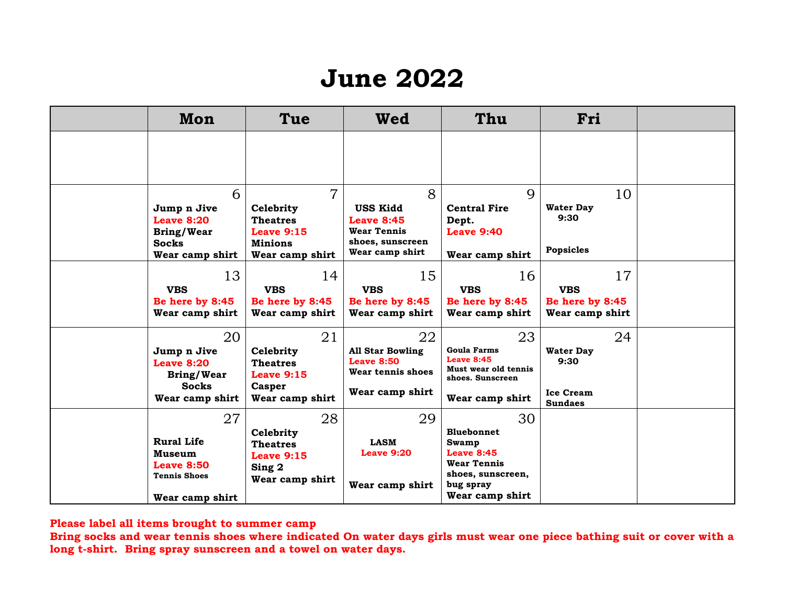## **June 2022**

| Mon                                                                                              | Tue                                                                                               | Wed                                                                                             | Thu                                                                                                                              | Fri                                                                  |  |
|--------------------------------------------------------------------------------------------------|---------------------------------------------------------------------------------------------------|-------------------------------------------------------------------------------------------------|----------------------------------------------------------------------------------------------------------------------------------|----------------------------------------------------------------------|--|
|                                                                                                  |                                                                                                   |                                                                                                 |                                                                                                                                  |                                                                      |  |
| 6<br>Jump n Jive<br>Leave 8:20<br><b>Bring/Wear</b><br><b>Socks</b><br>Wear camp shirt           | $\overline{7}$<br>Celebrity<br><b>Theatres</b><br>Leave 9:15<br><b>Minions</b><br>Wear camp shirt | 8<br><b>USS Kidd</b><br>Leave 8:45<br><b>Wear Tennis</b><br>shoes, sunscreen<br>Wear camp shirt | $\mathbf Q$<br><b>Central Fire</b><br>Dept.<br><b>Leave 9:40</b><br>Wear camp shirt                                              | 10<br><b>Water Day</b><br>9:30<br>Popsicles                          |  |
| 13<br><b>VBS</b><br>Be here by 8:45<br>Wear camp shirt                                           | 14<br><b>VBS</b><br>Be here by 8:45<br>Wear camp shirt                                            | 15<br><b>VBS</b><br>Be here by 8:45<br>Wear camp shirt                                          | 16<br><b>VBS</b><br>Be here by 8:45<br>Wear camp shirt                                                                           | 17<br><b>VBS</b><br>Be here by 8:45<br>Wear camp shirt               |  |
| 20<br>Jump n Jive<br>Leave 8:20<br><b>Bring/Wear</b><br><b>Socks</b><br>Wear camp shirt          | 21<br>Celebrity<br><b>Theatres</b><br>Leave $9:15$<br><b>Casper</b><br>Wear camp shirt            | 22<br><b>All Star Bowling</b><br><b>Leave 8:50</b><br>Wear tennis shoes<br>Wear camp shirt      | 23<br><b>Goula Farms</b><br><b>Leave 8:45</b><br>Must wear old tennis<br>shoes. Sunscreen<br>Wear camp shirt                     | 24<br><b>Water Day</b><br>9:30<br><b>Ice Cream</b><br><b>Sundaes</b> |  |
| 27<br><b>Rural Life</b><br>Museum<br><b>Leave 8:50</b><br><b>Tennis Shoes</b><br>Wear camp shirt | 28<br>Celebrity<br><b>Theatres</b><br>Leave $9:15$<br>Sing 2<br>Wear camp shirt                   | 29<br><b>LASM</b><br>Leave 9:20<br>Wear camp shirt                                              | 30<br><b>Bluebonnet</b><br><b>Swamp</b><br>Leave 8:45<br><b>Wear Tennis</b><br>shoes, sunscreen,<br>bug spray<br>Wear camp shirt |                                                                      |  |

**Please label all items brought to summer camp**

**Bring socks and wear tennis shoes where indicated On water days girls must wear one piece bathing suit or cover with a long t-shirt. Bring spray sunscreen and a towel on water days.**